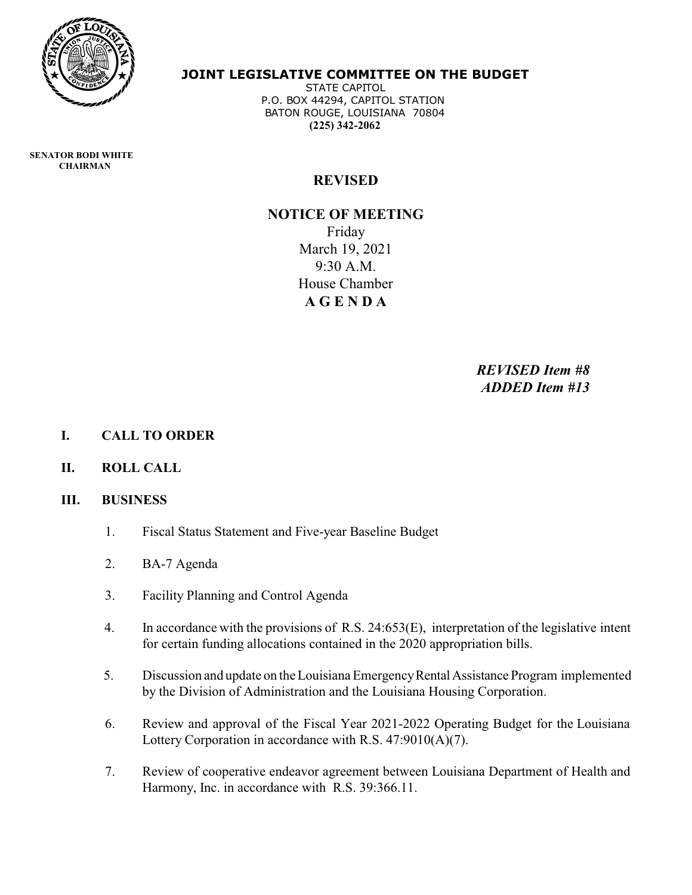

### **JOINT LEGISLATIVE COMMITTEE ON THE BUDGET**

 STATE CAPITOL P.O. BOX 44294, CAPITOL STATION BATON ROUGE, LOUISIANA 70804  **(225) 342-2062**

 **SENATOR BODI WHITE CHAIRMAN** 

## **REVISED**

# **NOTICE OF MEETING** Friday March 19, 2021 9:30 A.M. House Chamber **A G E N D A**

*REVISED Item #8 ADDED Item #13*

- **I. CALL TO ORDER**
- **II. ROLL CALL**

#### **III. BUSINESS**

- 1. Fiscal Status Statement and Five-year Baseline Budget
- 2. BA-7 Agenda
- 3. Facility Planning and Control Agenda
- 4. In accordance with the provisions of R.S. 24:653(E), interpretation of the legislative intent for certain funding allocations contained in the 2020 appropriation bills.
- 5. Discussion and update on the Louisiana EmergencyRentalAssistance Program implemented by the Division of Administration and the Louisiana Housing Corporation.
- 6. Review and approval of the Fiscal Year 2021-2022 Operating Budget for the Louisiana Lottery Corporation in accordance with R.S. 47:9010(A)(7).
- 7. Review of cooperative endeavor agreement between Louisiana Department of Health and Harmony, Inc. in accordance with R.S. 39:366.11.